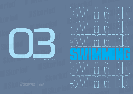

WISKorled®

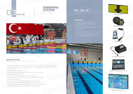#### **GENERAL FEATURES**

![](_page_1_Picture_0.jpeg)

![](_page_1_Picture_1.jpeg)

#### **EQUIPMENTS**

- It has three language supports: Turkish, English and French. There is support for a total of 157 characters. In addition to the characters of the three languages, it also includes German, Azerbaijani, Turkmen and Uzbek characters.
- It can work wired or wireless.
- The controller can be used wirelessly for up to 4 hours with a 1 hour charge.
- Systems are so easy for the user.
- It works fully compatible with Splash Meet Manager program.
- Race data and results can be printed out with an external thermal printer.
- All equipment can be tested.
- It has the feature of rescuing races that cannot be started on time.
- There are 50 race, 128 event order and 100 flash event order memories.
- Lane errors can be followed instantly both on the lane box and on the controller.
- Time is measured with an accuracy of 0.00 and a precision of 0.00.
- 1 piece race starter (STR 100)
- As many as number of lanes touchpad  $(ST - 2490 - F)$
- As many as number of lanes lane box (SKL – LB – V1)
- 
- 1 piece swimming controller (SKL SWC V2)
- 1 piece graphic scoreboard (SKL LIVE X) (The screen size can be changed optionally.)

### SKL – LVE – SX

![](_page_1_Picture_23.jpeg)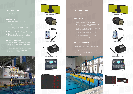![](_page_2_Picture_14.jpeg)

![](_page_2_Picture_16.jpeg)

![](_page_2_Picture_18.jpeg)

#### **OPTIONAL EQUIPMENTS**

![](_page_2_Picture_1.jpeg)

![](_page_2_Picture_3.jpeg)

- 1 piece race starter (STR 100)
- $(ST 2490 F)$  (It might be increased or decreased
- 
- 
- 1 piece swimming controller (SKL SWC V2)
- 

- scoreboard modules can be added to the
- 

![](_page_2_Picture_13.jpeg)

- scoreboard modules can be added to the scoreboard.
- according to the display.

![](_page_2_Picture_36.jpeg)

![](_page_2_Picture_20.jpeg)

Lane Scoreboard (SKL–SPL–X)

- 
- 
- 
- 
- 
- 
- 
- (The number of lines can be increased or decreased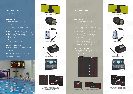![](_page_3_Picture_17.jpeg)

![](_page_3_Picture_18.jpeg)

![](_page_3_Picture_19.jpeg)

#### **OPTIONAL EQUIPMENTS**

#### **OPTIONAL EQUIPMENTS**

- 1 piece race starter (STR 100)
- As many as number of lanes touchpad  $(ST - 2490 - F)$  (It might be increased or decreased according to number of far or near lanes.)
- As many as number of lanes lane box  $(SKL - LB - VI)$  (It might be increased or decreased according to number of far or near lanes.)
- 1 piece thermal printer (SKL ETP 5V)
- 1 piece swimming controller (SKL SWC V2)
- 1 piece lap-length-time module (SKL SLT 2L)
- 1 piece event-heat-record module  $(SKL - SEHR - 2L)$
- 1 piece lane scoreboard (SKL SPL X) (The number of lines can be increased or decreased depending to the number of lanes.)
- 1 piece race starter (STR 100)
- $(ST 2490 F)$  (It might be increased or decreased
- $(SKL LB VI)$  (It might be increased or decreased
- 
- 1 piece swimming controller (SKL SWC V2)
- 1 piece lap-length-time module (SKL SLT 2L)
- $(SKL SEHR 2L)$
- 1 piece lane scoreboard (SKL SPL X) (The number of lines can be increased or decreased
- 1 piece team score module (SKL-STP-2L)
- 

- Record, lap-length and team score, and the scoreboard modules can be added to the scoreboard.
- Scoreboard can be produced with a display size of 25 cm, 30 cm or with a special dimensions according to the display.

![](_page_3_Picture_14.jpeg)

![](_page_3_Figure_15.jpeg)

Lap Module (SKL–SLAP–S)

![](_page_3_Picture_39.jpeg)

Lane Scoreboard (SKL-SPL-X)

![](_page_3_Picture_41.jpeg)

![](_page_3_Picture_42.jpeg)

Team Score Module (SKL-STP-2L)

![](_page_3_Picture_45.jpeg)

Thermal Printer (SKL–ETP–5V)

![](_page_3_Picture_21.jpeg)

![](_page_3_Picture_23.jpeg)

Lap-Length-Time Module (SKL–SLT–2L) Event-Heat-Record Module (SKL–SEHR–2L) Lane Scoreboard (SKL–SPL–X)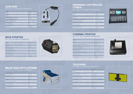## **RELAY TAKE-OFF PLATFORM**

## **TOUCHPAD**

## **RACE STARTER**

## **THERMAL PRINTER**

SKL - RTS - V1 / TECHNICAL PARAMETERS

ST – 2490 – F / TECHNICAL PARAMETERS

STR – 100 / TECHNICAL PARAMETERS

SKL – ETP – 5V / TECHNICAL PARAMETERS

# **LANE BOX**<br>SKL-LB-V1 / TECHNICAL PARAMETERS

| Height                           | 80 mm                                           |
|----------------------------------|-------------------------------------------------|
| Width                            | 160 mm                                          |
| Thickness                        | $41$ mm                                         |
| Weight                           | 520 g                                           |
| Cable Length                     | 3 <sub>m</sub>                                  |
| <b>Average Power Consumption</b> | 380 mW                                          |
| <b>Operating Voltage</b>         | 12V                                             |
| <b>Operating Temperature</b>     | $(-40^{\circ}\text{C}) - (+55^{\circ}\text{C})$ |
| <b>Protection Class</b>          | <b>IP65</b>                                     |
| <b>Type Of Material</b>          | <b>ABS</b>                                      |
| <b>Guarantee Duration</b>        | 2 Years                                         |
| Frame Color                      | <b>Mat Black</b>                                |

![](_page_4_Picture_2.jpeg)

| Height                       | 180 mm                                          |
|------------------------------|-------------------------------------------------|
| Width                        | 300 mm                                          |
| Thickness                    | 186 mm                                          |
| Weight                       | 3.5 <sub>kg</sub>                               |
| <b>Power Consumption</b>     | 125/250 W                                       |
| <b>Operating Voltage</b>     | 12V                                             |
| <b>Operating Temperature</b> | $(-15^{\circ}\text{C}) - (+55^{\circ}\text{C})$ |
| <b>Protection Class</b>      | <b>IP65</b>                                     |
| <b>Type Of Material</b>      | $\mathsf{A}$                                    |
| <b>Guarantee Duration</b>    | 2 Years                                         |
| Frame Color                  | <b>Mat Black</b>                                |

![](_page_4_Picture_9.jpeg)

| 660 mm             |
|--------------------|
| 640 mm             |
| $0,37 \text{ m}^2$ |
| 505 mm             |
| $25$ kg            |
| $(-40C) - (+55C)$  |
| <b>IP54</b>        |
| <b>CTP</b>         |
| 2 Years            |
| White-Blue         |
|                    |

![](_page_4_Picture_16.jpeg)

| Height                            | $102$ mm          |
|-----------------------------------|-------------------|
| Width                             | 338 mm            |
| Thickness                         | 287 mm            |
| Weight                            | $2.6$ kg          |
| <b>Average Power Consumption*</b> | 3 W               |
| <b>Operating Voltage</b>          | $10.8V - 16.8V$   |
| <b>Operating Temperature</b>      | $(-40C) - (+55C)$ |
| <b>Protection Class</b>           | <b>IP54</b>       |
| <b>Type Of Material</b>           | $\mathsf{A}$      |
| <b>Guarantee Duration</b>         | 2 Years           |

| Height                            | 57 mm                                          |
|-----------------------------------|------------------------------------------------|
| Width                             | 133 mm                                         |
| Thickness                         | $126$ mm                                       |
| <b>Maksimum Power Consumption</b> | 7.5 W                                          |
| <b>Operating Voltage</b>          | $5V - 9V$                                      |
| <b>Operating Temperature</b>      | $(+5^{\circ}\text{C}) - (+50^{\circ}\text{C})$ |
| <b>Operating Humidity</b>         | $%10 - %90$                                    |
| <b>Printing Speed</b>             | $50 - 80$ mm/s                                 |
| Maximum Paper Roll Diameter       | 39 mm                                          |
| <b>Protection Class</b>           | <b>IP50</b>                                    |
| <b>Guarantee Duration</b>         | 2 Years                                        |
| <b>Frame Color</b>                | <b>Mat Black</b>                               |
|                                   |                                                |

| Dimensions                 | 240x90x1 cm                                |
|----------------------------|--------------------------------------------|
| Weight                     | 17 kg                                      |
| <b>Operating Type</b>      | Switch method                              |
| Product Color              | Yellow-Black                               |
| <b>Connection Socket</b>   | Banana jack                                |
| <b>Product Maintenance</b> | Maintenance is required                    |
| <b>Control Unit</b>        | With controller connection                 |
| <b>Guarantee Duration</b>  | 2 Years                                    |
| Frame Type                 | <b>UV Resistant PVC</b>                    |
| <b>Protection Class</b>    | <b>IP67</b>                                |
| Platform                   | Device can be mountabled where<br>you want |
| Cable Length               | 2.75 meters                                |

![](_page_4_Picture_20.jpeg)

![](_page_4_Picture_21.jpeg)

![](_page_4_Picture_22.jpeg)

### **SWIMMING CONTROLLER (TIMER)**

SKL – SWC – V2 / TECHNICAL PARAMETERS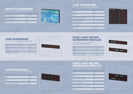#### **LANE SCOREBOARD**

### **GRAPHIC SCOREBOARD**

### **LANE SCOREBOARD**

### **LANE SCOREBOARD**

SKL – SLN – 2L / TECHNICAL PARAMETERS

SKL – LVE – X / TECHNICAL PARAMETERS

SKL – SPL – X / TECHNICAL PARAMETERS

SKL – SLN – 1L / TECHNICAL PARAMETERS

| <b>Operating Voltage</b>     | $100 - 120V / 200V - 240V$                      |
|------------------------------|-------------------------------------------------|
| <b>Operating Temperature</b> | $(-40^{\circ}\text{C}) - (+55^{\circ}\text{C})$ |
| <b>Protection Class</b>      | <b>IP54</b>                                     |
| <b>Type Of Material</b>      | Al                                              |
| <b>Guarantee Duration</b>    | 2 Years                                         |
| Frame Color                  | Mat Black                                       |

| E. |     | 2. Erkekler, 200m Freestyle<br>H: 1            |                    | ŧ.<br>414          |
|----|-----|------------------------------------------------|--------------------|--------------------|
| ⊷  | Plc | <b>NAME</b>                                    | <b>TEAM</b>        | <b>IMF</b>         |
|    |     | <b>ZZET CAN ARARA</b><br><b>SARIK OMER TAR</b> | TUR<br>TUR         | 1:36.58            |
| 5  |     | CAN YILMAZ<br><b>KAAN TURKER AY</b>            | TUR                | 1:41.89<br>1:47.30 |
|    |     | <b>MUSTAFA KUBİLAY</b>                         | TUR.<br><b>TUR</b> | 1:52:04<br>1.57.93 |
|    | 6   | <b>TURGUT AGABEYOG</b><br><b>BORA ÖZARSLAN</b> | TUR                | 2:03.86            |
|    |     | <b>BORA KURTMAN</b>                            | TUR<br>TUR.        | 2:08.80<br>2:14.63 |

| Height                           | 580 mm  |
|----------------------------------|---------|
| Width                            | 1900 mm |
| Thickness                        | 85 mm   |
| Weight                           | 14.4 kg |
| <b>Maximum Power Consumption</b> | 180 W   |
| <b>Average Power Consumption</b> | 95 W    |
|                                  |         |

![](_page_5_Picture_20.jpeg)

![](_page_5_Picture_21.jpeg)

![](_page_5_Picture_22.jpeg)

![](_page_5_Picture_23.jpeg)

| Height                           | 2900 mm                                         |
|----------------------------------|-------------------------------------------------|
| Width                            | 1900 mm                                         |
| Thickness                        | 85 mm                                           |
| Weight                           | 75 kg                                           |
| <b>Maximum Power Consumption</b> | 900 W                                           |
| <b>Average Power Consumption</b> | 475 W                                           |
| <b>Operating Voltage</b>         | 100 - 120V / 200V - 240V                        |
| <b>Operating Temperature</b>     | $(-40^{\circ}\text{C}) - (+55^{\circ}\text{C})$ |
| <b>Protection Class</b>          | <b>IP54</b>                                     |
| <b>Type Of Material</b>          | $\Delta$                                        |
| <b>Guarantee Duration</b>        | 2 Years                                         |
| Frame Color                      | <b>Mat Black</b>                                |

| Height                           | 290 mm  |
|----------------------------------|---------|
| Width                            | 1900 mm |
| Thickness                        | 85 mm   |
| Weight                           | 9.2 kg  |
| <b>Maximum Power Consumption</b> | 90 W    |
| <b>Average Power Consumption</b> | 47.5 W  |
|                                  |         |

![](_page_5_Picture_10.jpeg)

#### **EVENT–HEAT–RECORD SCOREBOARD MODULES**

### **EVENT–HEAT–RECORD SCOREBOARD MODULES**

SKL – SEHR – 2L / TECHNICAL PARAMETERS

SKL – SREC – 1L / SKL – SEH – 1L TECHNICAL PARAMETERS

| Height                           | 290 mm  |
|----------------------------------|---------|
| Width                            | 1900 mm |
| Thickness                        | 85 mm   |
| Weight                           | 9 kg    |
| <b>Maximum Power Consumption</b> | 67.5 W  |
| <b>Average Power Consumption</b> | 35.6 W  |
|                                  |         |

| Height                           | 290 mm                                          |
|----------------------------------|-------------------------------------------------|
| Width                            | 1900 mm                                         |
| Thickness                        | 85 mm                                           |
| Weight                           | 9 kg                                            |
| <b>Maximum Power Consumption</b> | 67.5 W                                          |
| <b>Average Power Consumption</b> | 35.6 W                                          |
| <b>Operating Voltage</b>         | 100 - 120V / 200V - 240V                        |
| <b>Operating Temperature</b>     | $(-40^{\circ}\text{C}) - (+55^{\circ}\text{C})$ |
| <b>Protection Class</b>          | <b>IP54</b>                                     |
| <b>Type Of Material</b>          | $\mathsf{A}$                                    |
| <b>Guarantee Duration</b>        | 2 Years                                         |
| Frame Color                      | <b>Mat Black</b>                                |